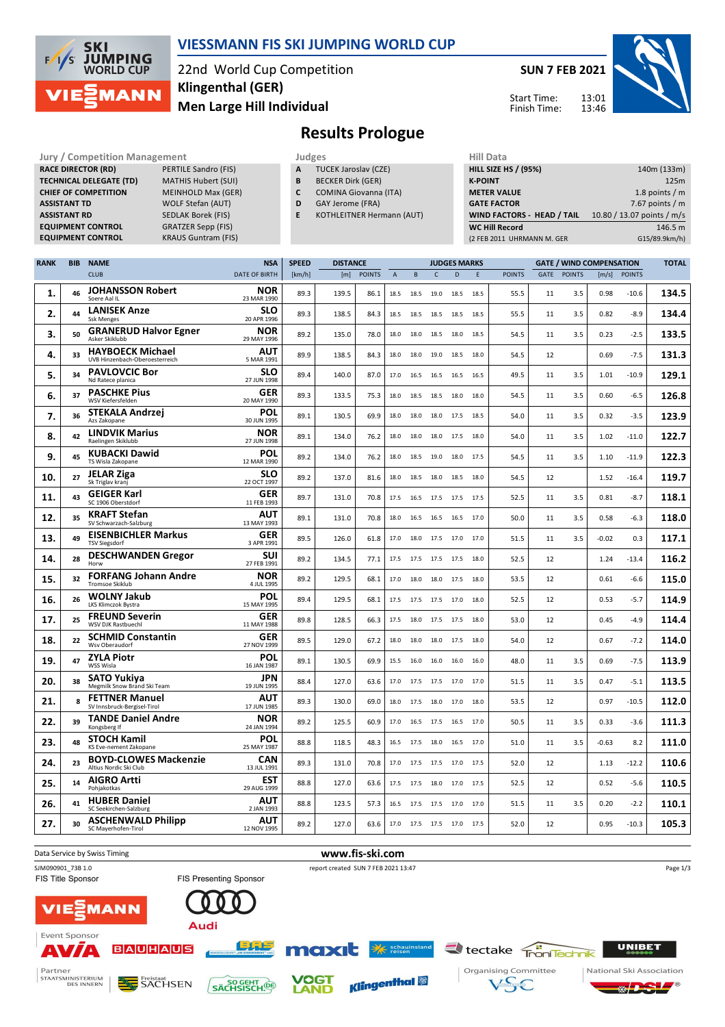

### **VIESSMANN FIS SKI JUMPING WORLD CUP**

22nd World Cup Competition **Men Large Hill Individual Klingenthal (GER)**

**SUN 7 FEB 2021**

Start Time: Finish Time:



**Results Prologue**

| <b>Jury / Competition Management</b> |                            | Judges |                 |
|--------------------------------------|----------------------------|--------|-----------------|
| <b>RACE DIRECTOR (RD)</b>            | PERTILE Sandro (FIS)       | A      | TU <sub>(</sub> |
| <b>TECHNICAL DELEGATE (TD)</b>       | <b>MATHIS Hubert (SUI)</b> | в      | BE <sub>C</sub> |
| <b>CHIEF OF COMPETITION</b>          | <b>MEINHOLD Max (GER)</b>  |        | <b>CO</b>       |
| <b>ASSISTANT TD</b>                  | <b>WOLF Stefan (AUT)</b>   | D      | GA'             |
| <b>ASSISTANT RD</b>                  | <b>SEDLAK Borek (FIS)</b>  | E      | KO <sup>-</sup> |
| <b>EQUIPMENT CONTROL</b>             | <b>GRATZER Sepp (FIS)</b>  |        |                 |
| <b>EQUIPMENT CONTROL</b>             | <b>KRAUS Guntram (FIS)</b> |        |                 |

- **A** TUCEK Jaroslav (CZE)
- **B** BECKER Dirk (GER)
- **C** COMINA Giovanna (ITA)
- **D** GAY Jerome (FRA)
- **E** KOTHLEITNER Hermann (AUT)

| Hill Data                   |                            |
|-----------------------------|----------------------------|
| <b>HILL SIZE HS / (95%)</b> | 140m (133m)                |
| <b>K-POINT</b>              | 125m                       |
| <b>METER VALUE</b>          | 1.8 points $/m$            |
| <b>GATE FACTOR</b>          | 7.67 points $/m$           |
| WIND FACTORS - HEAD / TAIL  | 10.80 / 13.07 points / m/s |
| <b>WC Hill Record</b>       | 146.5 m                    |
| (2 FEB 2011 UHRMANN M. GER  | G15/89.9km/h)              |

| <b>RANK</b> | <b>BIB</b> | <b>NAME</b>                                                     | <b>NSA</b>                       | <b>SPEED</b> | <b>DISTANCE</b> |               |                | <b>JUDGES MARKS</b> |                |      |      | <b>GATE / WIND COMPENSATION</b> |             |               | <b>TOTAL</b> |               |       |
|-------------|------------|-----------------------------------------------------------------|----------------------------------|--------------|-----------------|---------------|----------------|---------------------|----------------|------|------|---------------------------------|-------------|---------------|--------------|---------------|-------|
|             |            | <b>CLUB</b>                                                     | <b>DATE OF BIRTH</b>             | [km/h]       | [m]             | <b>POINTS</b> | $\overline{A}$ | B                   | $\mathsf{C}$   | D    | E    | <b>POINTS</b>                   | <b>GATE</b> | <b>POINTS</b> | [m/s]        | <b>POINTS</b> |       |
| 1.          | 46         | <b>JOHANSSON Robert</b><br>Soere Aal IL                         | <b>NOR</b><br>23 MAR 1990        | 89.3         | 139.5           | 86.1          | 18.5           | 18.5                | 19.0           | 18.5 | 18.5 | 55.5                            | 11          | 3.5           | 0.98         | $-10.6$       | 134.5 |
| 2.          | 44         | <b>LANISEK Anze</b><br><b>Ssk Menges</b>                        | SLO<br>20 APR 1996               | 89.3         | 138.5           | 84.3          | 18.5           | 18.5                | 18.5           | 18.5 | 18.5 | 55.5                            | 11          | 3.5           | 0.82         | $-8.9$        | 134.4 |
| з.          | 50         | <b>GRANERUD Halvor Egner</b><br>Asker Skiklubb                  | <b>NOR</b><br>29 MAY 1996        | 89.2         | 135.0           | 78.0          | 18.0           | 18.0                | 18.5           | 18.0 | 18.5 | 54.5                            | 11          | 3.5           | 0.23         | $-2.5$        | 133.5 |
| 4.          | 33         | <b>HAYBOECK Michael</b><br>UVB Hinzenbach-Oberoesterreich       | <b>AUT</b><br>5 MAR 1991         | 89.9         | 138.5           | 84.3          | 18.0           | 18.0                | 19.0           | 18.5 | 18.0 | 54.5                            | 12          |               | 0.69         | $-7.5$        | 131.3 |
| 5.          | 34         | <b>PAVLOVCIC Bor</b><br>Nd Ratece planica                       | <b>SLO</b><br>27 JUN 1998        | 89.4         | 140.0           | 87.0          | 17.0           | 16.5                | 16.5           | 16.5 | 16.5 | 49.5                            | 11          | 3.5           | 1.01         | $-10.9$       | 129.1 |
| 6.          | 37         | <b>PASCHKE Pius</b><br>WSV Kiefersfelden                        | <b>GER</b><br>20 MAY 1990        | 89.3         | 133.5           | 75.3          | 18.0           | 18.5                | 18.5           | 18.0 | 18.0 | 54.5                            | 11          | 3.5           | 0.60         | -6.5          | 126.8 |
| 7.          | 36         | <b>STEKALA Andrzei</b><br>Azs Zakopane                          | <b>POL</b><br>30 JUN 1995        | 89.1         | 130.5           | 69.9          | 18.0           | 18.0                | 18.0           | 17.5 | 18.5 | 54.0                            | 11          | 3.5           | 0.32         | $-3.5$        | 123.9 |
| 8.          | 42         | <b>LINDVIK Marius</b><br>Raelingen Skiklubb                     | <b>NOR</b><br>27 JUN 1998        | 89.1         | 134.0           | 76.2          | 18.0           | 18.0                | 18.0           | 17.5 | 18.0 | 54.0                            | 11          | 3.5           | 1.02         | $-11.0$       | 122.7 |
| 9.          | 45         | <b>KUBACKI Dawid</b><br>TS Wisla Zakopane                       | POL<br>12 MAR 1990               | 89.2         | 134.0           | 76.2          | 18.0           | 18.5                | 19.0           | 18.0 | 17.5 | 54.5                            | 11          | 3.5           | 1.10         | $-11.9$       | 122.3 |
| 10.         | 27         | <b>JELAR Ziga</b><br>Sk Triglav kranj                           | <b>SLO</b><br>22 OCT 1997        | 89.2         | 137.0           | 81.6          | 18.0           | 18.5                | 18.0           | 18.5 | 18.0 | 54.5                            | 12          |               | 1.52         | $-16.4$       | 119.7 |
| 11.         | 43         | <b>GEIGER Karl</b><br>SC 1906 Oberstdorf                        | <b>GER</b><br>11 FEB 1993        | 89.7         | 131.0           | 70.8          | 17.5           | 16.5                | 17.5           | 17.5 | 17.5 | 52.5                            | 11          | 3.5           | 0.81         | $-8.7$        | 118.1 |
| 12.         | 35         | <b>KRAFT Stefan</b><br>SV Schwarzach-Salzburg                   | <b>AUT</b><br>13 MAY 1993        | 89.1         | 131.0           | 70.8          | 18.0           | 16.5                | 16.5           | 16.5 | 17.0 | 50.0                            | 11          | 3.5           | 0.58         | $-6.3$        | 118.0 |
| 13.         | 49         | <b>EISENBICHLER Markus</b><br><b>TSV Siegsdorf</b>              | <b>GER</b><br>3 APR 1991         | 89.5         | 126.0           | 61.8          | 17.0           | 18.0                | 17.5           | 17.0 | 17.0 | 51.5                            | 11          | 3.5           | $-0.02$      | 0.3           | 117.1 |
| 14.         | 28         | <b>DESCHWANDEN Gregor</b><br>Horw                               | <b>SUI</b><br>27 FEB 1991        | 89.2         | 134.5           | 77.1          | 17.5           | 17.5                | 17.5           | 17.5 | 18.0 | 52.5                            | 12          |               | 1.24         | $-13.4$       | 116.2 |
| 15.         | 32         | <b>FORFANG Johann Andre</b><br><b>Tromsoe Skiklub</b>           | <b>NOR</b><br>4 JUL 1995         | 89.2         | 129.5           | 68.1          | 17.0           | 18.0 18.0           |                | 17.5 | 18.0 | 53.5                            | 12          |               | 0.61         | $-6.6$        | 115.0 |
| 16.         | 26         | <b>WOLNY Jakub</b><br>LKS Klimczok Bystra                       | POL<br>15 MAY 1995               | 89.4         | 129.5           | 68.1          | 17.5           | 17.5                | 17.5           | 17.0 | 18.0 | 52.5                            | 12          |               | 0.53         | $-5.7$        | 114.9 |
| 17.         | 25         | <b>FREUND Severin</b><br>WSV DJK Rastbuechl                     | <b>GER</b><br>11 MAY 1988        | 89.8         | 128.5           | 66.3          | 17.5           | 18.0                | 17.5           | 17.5 | 18.0 | 53.0                            | 12          |               | 0.45         | $-4.9$        | 114.4 |
| 18.         | 22         | <b>SCHMID Constantin</b><br>Wsv Oberaudorf                      | <b>GER</b><br>27 NOV 1999        | 89.5         | 129.0           | 67.2          | 18.0           | 18.0                | 18.0           | 17.5 | 18.0 | 54.0                            | 12          |               | 0.67         | $-7.2$        | 114.0 |
| 19          | 47         | <b>ZYLA Piotr</b><br>WSS Wisla                                  | POL<br>16 JAN 1987<br><b>JPN</b> | 89.1         | 130.5           | 69.9          | 15.5           | 16.0                | 16.0           | 16.0 | 16.0 | 48.0                            | 11          | 3.5           | 0.69         | $-7.5$        | 113.9 |
| 20.         | 38         | <b>SATO Yukiya</b><br>Megmilk Snow Brand Ski Team               | 19 JUN 1995                      | 88.4         | 127.0           | 63.6          | 17.0           | 17.5                | 17.5           | 17.0 | 17.0 | 51.5                            | 11          | 3.5           | 0.47         | $-5.1$        | 113.5 |
| 21.         | 8          | <b>FETTNER Manuel</b><br>SV Innsbruck-Bergisel-Tirol            | <b>AUT</b><br>17 JUN 1985<br>NOR | 89.3         | 130.0           | 69.0          | 18.0           | 17.5 18.0           |                | 17.0 | 18.0 | 53.5                            | 12          |               | 0.97         | $-10.5$       | 112.0 |
| 22.         | 39         | <b>TANDE Daniel Andre</b><br>Kongsberg If<br><b>STOCH Kamil</b> | 24 JAN 1994<br>POL               | 89.2         | 125.5           | 60.9          | 17.0           | 16.5                | 17.5           | 16.5 | 17.0 | 50.5                            | 11          | 3.5           | 0.33         | -3.6          | 111.3 |
| 23.         | 48         | KS Eve-nement Zakopane<br><b>BOYD-CLOWES Mackenzie</b>          | 25 MAY 1987<br>CAN               | 88.8         | 118.5           | 48.3          | 16.5           | 17.5                | 18.0           | 16.5 | 17.0 | 51.0                            | 11          | 3.5           | $-0.63$      | 8.2           | 111.0 |
| 24.         | 23         | Altius Nordic Ski Club<br><b>AIGRO Artti</b>                    | 13 JUL 1991<br>EST               | 89.3         | 131.0           | 70.8          | 17.0           | 17.5 17.5           |                | 17.0 | 17.5 | 52.0                            | 12          |               | 1.13         | $-12.2$       | 110.6 |
| 25.         | 14         | Pohjakotkas<br><b>HUBER Daniel</b>                              | 29 AUG 1999<br><b>AUT</b>        | 88.8         | 127.0           | 63.6          | 17.5           | 17.5                | 18.0           | 17.0 | 17.5 | 52.5                            | 12          |               | 0.52         | $-5.6$        | 110.5 |
| 26.         | 41         | SC Seekirchen-Salzburg<br><b>ASCHENWALD Philipp</b>             | 2 JAN 1993<br><b>AUT</b>         | 88.8         | 123.5           | 57.3          | 16.5           | 17.5                | 17.5           | 17.0 | 17.0 | 51.5                            | 11          | 3.5           | 0.20         | $-2.2$        | 110.1 |
| 27.         | 30         | SC Mayerhofen-Tirol                                             | 12 NOV 1995                      | 89.2         | 127.0           | 63.6          | 17.0           |                     | 17.5 17.5 17.0 |      | 17.5 | 52.0                            | 12          |               | 0.95         | $-10.3$       | 105.3 |

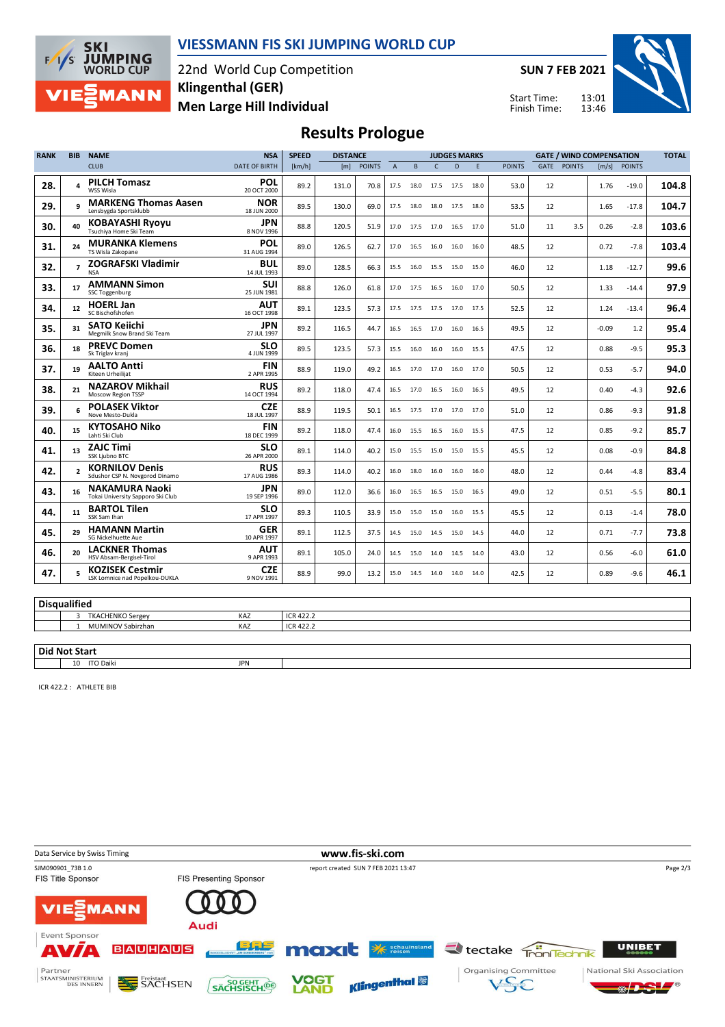

### **VIESSMANN FIS SKI JUMPING WORLD CUP**

22nd World Cup Competition **Men Large Hill Individual Klingenthal (GER)**

**SUN 7 FEB 2021**

Start Time: Finish Time:



## **Results Prologue**

| <b>RANK</b> | <b>BIB</b>     | <b>NAME</b>                                                | <b>NSA</b>                | <b>SPEED</b> | <b>DISTANCE</b> |               |                | <b>JUDGES MARKS</b> |                     |      |      |               | <b>GATE / WIND COMPENSATION</b> |               |                     |               | <b>TOTAL</b> |
|-------------|----------------|------------------------------------------------------------|---------------------------|--------------|-----------------|---------------|----------------|---------------------|---------------------|------|------|---------------|---------------------------------|---------------|---------------------|---------------|--------------|
|             |                | <b>CLUB</b>                                                | <b>DATE OF BIRTH</b>      | [km/h]       | [m]             | <b>POINTS</b> | $\overline{A}$ | B                   | $\mathsf{C}$        | D    | E    | <b>POINTS</b> | <b>GATE</b>                     | <b>POINTS</b> | $\lceil m/s \rceil$ | <b>POINTS</b> |              |
| 28.         | 4              | <b>PILCH Tomasz</b><br>WSS Wisla                           | <b>POL</b><br>20 OCT 2000 | 89.2         | 131.0           | 70.8          | 17.5           | 18.0                | 17.5                | 17.5 | 18.0 | 53.0          | 12                              |               | 1.76                | $-19.0$       | 104.8        |
| 29.         | q              | <b>MARKENG Thomas Aasen</b><br>Lensbygda Sportsklubb       | <b>NOR</b><br>18 JUN 2000 | 89.5         | 130.0           | 69.0          | 17.5           | 18.0                | 18.0                | 17.5 | 18.0 | 53.5          | 12                              |               | 1.65                | $-17.8$       | 104.7        |
| 30.         | 40             | <b>KOBAYASHI Ryoyu</b><br>Tsuchiya Home Ski Team           | <b>JPN</b><br>8 NOV 1996  | 88.8         | 120.5           | 51.9          | 17.0           |                     | 17.5 17.0 16.5      |      | 17.0 | 51.0          | 11                              | 3.5           | 0.26                | $-2.8$        | 103.6        |
| 31.         | 24             | <b>MURANKA Klemens</b><br>TS Wisla Zakopane                | <b>POL</b><br>31 AUG 1994 | 89.0         | 126.5           | 62.7          | 17.0           |                     | 16.5 16.0           | 16.0 | 16.0 | 48.5          | 12                              |               | 0.72                | $-7.8$        | 103.4        |
| 32.         | $\overline{ }$ | <b>ZOGRAFSKI Vladimir</b><br><b>NSA</b>                    | <b>BUL</b><br>14 JUL 1993 | 89.0         | 128.5           | 66.3          | 15.5           |                     | 16.0 15.5           | 15.0 | 15.0 | 46.0          | 12                              |               | 1.18                | $-12.7$       | 99.6         |
| 33.         | 17             | <b>AMMANN Simon</b><br><b>SSC Toggenburg</b>               | <b>SUI</b><br>25 JUN 1981 | 88.8         | 126.0           | 61.8          | 17.0           |                     | 17.5 16.5           | 16.0 | 17.0 | 50.5          | 12                              |               | 1.33                | $-14.4$       | 97.9         |
| 34.         | 12             | <b>HOERL Jan</b><br>SC Bischofshofen                       | <b>AUT</b><br>16 OCT 1998 | 89.1         | 123.5           | 57.3          |                |                     | 17.5 17.5 17.5 17.0 |      | 17.5 | 52.5          | 12                              |               | 1.24                | $-13.4$       | 96.4         |
| 35.         | 31             | <b>SATO Keiichi</b><br>Megmilk Snow Brand Ski Team         | <b>JPN</b><br>27 JUL 1997 | 89.2         | 116.5           | 44.7          | 16.5           |                     | 16.5 17.0           | 16.0 | 16.5 | 49.5          | 12                              |               | $-0.09$             | 1.2           | 95.4         |
| 36.         | 18             | <b>PREVC Domen</b><br>Sk Triglav kranj                     | <b>SLO</b><br>4 JUN 1999  | 89.5         | 123.5           | 57.3          | 15.5           | 16.0                | 16.0                | 16.0 | 15.5 | 47.5          | 12                              |               | 0.88                | $-9.5$        | 95.3         |
| 37.         | 19             | <b>AALTO Antti</b><br>Kiteen Urheilijat                    | <b>FIN</b><br>2 APR 1995  | 88.9         | 119.0           | 49.2          | 16.5           |                     | 17.0 17.0           | 16.0 | 17.0 | 50.5          | 12                              |               | 0.53                | $-5.7$        | 94.0         |
| 38.         | 21             | <b>NAZAROV Mikhail</b><br><b>Moscow Region TSSP</b>        | <b>RUS</b><br>14 OCT 1994 | 89.2         | 118.0           | 47.4          | 16.5           | 17.0 16.5           |                     | 16.0 | 16.5 | 49.5          | 12                              |               | 0.40                | $-4.3$        | 92.6         |
| 39.         | 6              | <b>POLASEK Viktor</b><br>Nove Mesto-Dukla                  | <b>CZE</b><br>18 JUL 1997 | 88.9         | 119.5           | 50.1          | 16.5           | 17.5 17.0           |                     | 17.0 | 17.0 | 51.0          | 12                              |               | 0.86                | $-9.3$        | 91.8         |
| 40.         | 15             | <b>KYTOSAHO Niko</b><br>Lahti Ski Club                     | <b>FIN</b><br>18 DEC 1999 | 89.2         | 118.0           | 47.4          | 16.0           | 15.5                | 16.5                | 16.0 | 15.5 | 47.5          | 12                              |               | 0.85                | $-9.2$        | 85.7         |
| 41.         | 13             | <b>ZAJC Timi</b><br><b>SSK Liubno BTC</b>                  | <b>SLO</b><br>26 APR 2000 | 89.1         | 114.0           | 40.2          | 15.0           | 15.5                | 15.0                | 15.0 | 15.5 | 45.5          | 12                              |               | 0.08                | $-0.9$        | 84.8         |
| 42.         | $\mathbf{z}$   | <b>KORNILOV Denis</b><br>Sdushor CSP N. Novgorod Dinamo    | <b>RUS</b><br>17 AUG 1986 | 89.3         | 114.0           | 40.2          | 16.0           | 18.0                | 16.0                | 16.0 | 16.0 | 48.0          | 12                              |               | 0.44                | $-4.8$        | 83.4         |
| 43.         | 16             | <b>NAKAMURA Naoki</b><br>Tokai University Sapporo Ski Club | <b>JPN</b><br>19 SEP 1996 | 89.0         | 112.0           | 36.6          | 16.0           | 16.5                | 16.5                | 15.0 | 16.5 | 49.0          | 12                              |               | 0.51                | $-5.5$        | 80.1         |
| 44.         | 11             | <b>BARTOL Tilen</b><br>SSK Sam Ihan                        | <b>SLO</b><br>17 APR 1997 | 89.3         | 110.5           | 33.9          | 15.0           | 15.0                | 15.0                | 16.0 | 15.5 | 45.5          | 12                              |               | 0.13                | $-1.4$        | 78.0         |
| 45.         | 29             | <b>HAMANN Martin</b><br>SG Nickelhuette Aue                | <b>GER</b><br>10 APR 1997 | 89.1         | 112.5           | 37.5          | 14.5           | 15.0                | 14.5                | 15.0 | 14.5 | 44.0          | 12                              |               | 0.71                | $-7.7$        | 73.8         |
| 46.         | 20             | <b>LACKNER Thomas</b><br>HSV Absam-Bergisel-Tirol          | <b>AUT</b><br>9 APR 1993  | 89.1         | 105.0           | 24.0          | 14.5           | 15.0                | 14.0                | 14.5 | 14.0 | 43.0          | 12                              |               | 0.56                | $-6.0$        | 61.0         |
| 47.         |                | <b>KOZISEK Cestmir</b><br>LSK Lomnice nad Popelkou-DUKLA   | <b>CZE</b><br>9 NOV 1991  | 88.9         | 99.0            | 13.2          | 15.0           |                     | 14.5 14.0 14.0      |      | 14.0 | 42.5          | 12                              |               | 0.89                | $-9.6$        | 46.1         |

#### **Disqualified**

| -------------           |                                              |           |
|-------------------------|----------------------------------------------|-----------|
| <b>TKACHENKO Sergev</b> | $\overline{\phantom{a}}$<br>KAZ              | ICR 422.2 |
| MUMINOV Sabirzhan       | $\overline{17}$ $\overline{2}$<br><b>KAZ</b> | ICR 422.2 |
|                         |                                              |           |

**Did Not Start** 10 ITO Daiki JPN

ICR 422.2 : ATHLETE BIB